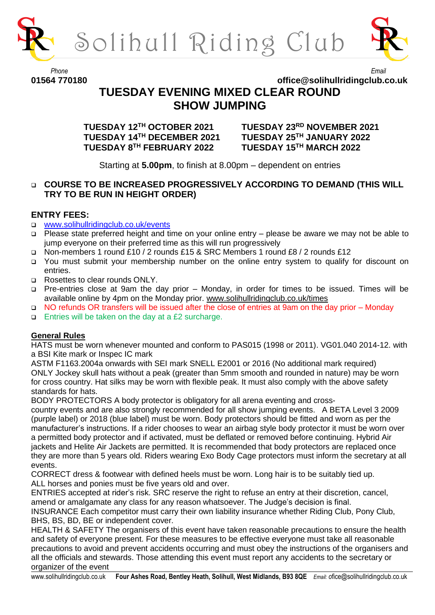

Solihull Riding Club



#### *Phone Email* **01564 770180 office@solihullridingclub.co.uk**

# **TUESDAY EVENING MIXED CLEAR ROUND SHOW JUMPING**

**TUESDAY 12TH OCTOBER 2021 TUESDAY 23RD NOVEMBER 2021 TUESDAY 14TH DECEMBER 2021 TUESDAY 25TH JANUARY 2022 TUESDAY 8**

**TH FEBRUARY 2022 TUESDAY 15TH MARCH 2022**

Starting at **5.00pm**, to finish at 8.00pm – dependent on entries

# ❑ **COURSE TO BE INCREASED PROGRESSIVELY ACCORDING TO DEMAND (THIS WILL TRY TO BE RUN IN HEIGHT ORDER)**

## **ENTRY FEES:**

- ❑ [www.solihullridingclub.co.uk/events](http://www.solihullridingclub.co.uk/events)
- ❑ Please state preferred height and time on your online entry please be aware we may not be able to jump everyone on their preferred time as this will run progressively
- ❑ Non-members 1 round £10 / 2 rounds £15 & SRC Members 1 round £8 / 2 rounds £12
- ❑ You must submit your membership number on the online entry system to qualify for discount on entries.
- ❑ Rosettes to clear rounds ONLY.
- ❑ Pre-entries close at 9am the day prior Monday, in order for times to be issued. Times will be available online by 4pm on the Monday prior. [www.solihullridingclub.co.uk/times](http://www.solihullridingclub.co.uk/times)
- ❑ NO refunds OR transfers will be issued after the close of entries at 9am on the day prior Monday
- ❑ Entries will be taken on the day at a £2 surcharge.

### **General Rules**

HATS must be worn whenever mounted and conform to PAS015 (1998 or 2011). VG01.040 2014-12. with a BSI Kite mark or Inspec IC mark

ASTM F1163.2004a onwards with SEI mark SNELL E2001 or 2016 (No additional mark required) ONLY Jockey skull hats without a peak (greater than 5mm smooth and rounded in nature) may be worn for cross country. Hat silks may be worn with flexible peak. It must also comply with the above safety standards for hats.

BODY PROTECTORS A body protector is obligatory for all arena eventing and cross-

country events and are also strongly recommended for all show jumping events. A BETA Level 3 2009 (purple label) or 2018 (blue label) must be worn. Body protectors should be fitted and worn as per the manufacturer's instructions. If a rider chooses to wear an airbag style body protector it must be worn over a permitted body protector and if activated, must be deflated or removed before continuing. Hybrid Air jackets and Helite Air Jackets are permitted. It is recommended that body protectors are replaced once they are more than 5 years old. Riders wearing Exo Body Cage protectors must inform the secretary at all events.

CORRECT dress & footwear with defined heels must be worn. Long hair is to be suitably tied up. ALL horses and ponies must be five years old and over.

ENTRIES accepted at rider's risk. SRC reserve the right to refuse an entry at their discretion, cancel, amend or amalgamate any class for any reason whatsoever. The Judge's decision is final.

INSURANCE Each competitor must carry their own liability insurance whether Riding Club, Pony Club, BHS, BS, BD, BE or independent cover.

HEALTH & SAFETY The organisers of this event have taken reasonable precautions to ensure the health and safety of everyone present. For these measures to be effective everyone must take all reasonable precautions to avoid and prevent accidents occurring and must obey the instructions of the organisers and all the officials and stewards. Those attending this event must report any accidents to the secretary or organizer of the event

www.solihullridingclub.co.uk **Four Ashes Road, Bentley Heath, Solihull, West Midlands, B93 8QE** *Email: o*fice@solihullridingclub.co.uk